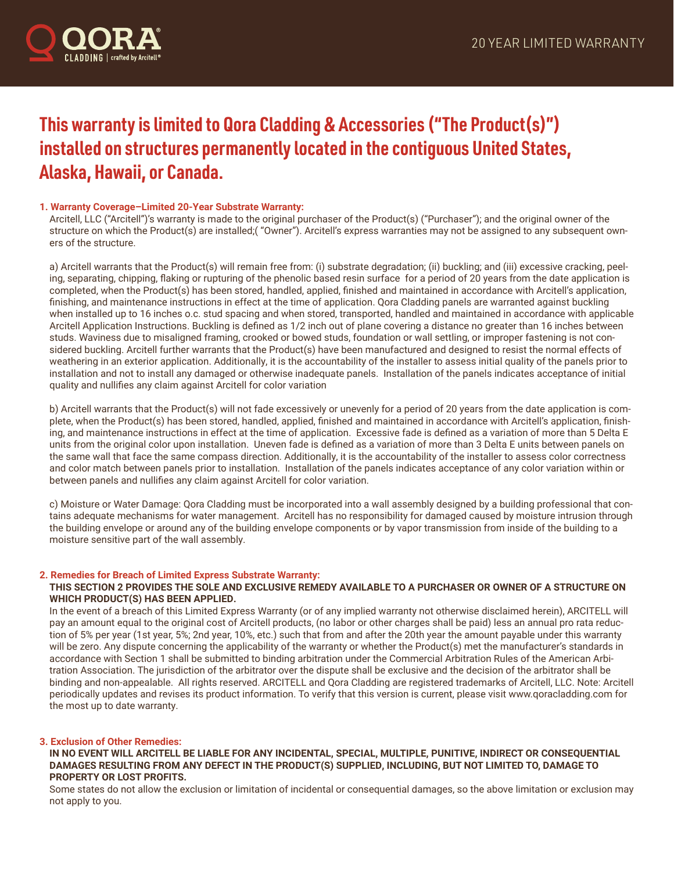

# **This warranty is limited to Qora Cladding & Accessories ("The Product(s)") installed on structures permanently located in the contiguous United States, Alaska, Hawaii, or Canada.**

# **1. Warranty Coverage–Limited 20-Year Substrate Warranty:**

Arcitell, LLC ("Arcitell")'s warranty is made to the original purchaser of the Product(s) ("Purchaser"); and the original owner of the structure on which the Product(s) are installed;( "Owner"). Arcitell's express warranties may not be assigned to any subsequent owners of the structure.

a) Arcitell warrants that the Product(s) will remain free from: (i) substrate degradation; (ii) buckling; and (iii) excessive cracking, peeling, separating, chipping, flaking or rupturing of the phenolic based resin surface for a period of 20 years from the date application is completed, when the Product(s) has been stored, handled, applied, finished and maintained in accordance with Arcitell's application, finishing, and maintenance instructions in effect at the time of application. Qora Cladding panels are warranted against buckling when installed up to 16 inches o.c. stud spacing and when stored, transported, handled and maintained in accordance with applicable Arcitell Application Instructions. Buckling is defined as 1/2 inch out of plane covering a distance no greater than 16 inches between studs. Waviness due to misaligned framing, crooked or bowed studs, foundation or wall settling, or improper fastening is not considered buckling. Arcitell further warrants that the Product(s) have been manufactured and designed to resist the normal effects of weathering in an exterior application. Additionally, it is the accountability of the installer to assess initial quality of the panels prior to installation and not to install any damaged or otherwise inadequate panels. Installation of the panels indicates acceptance of initial quality and nullifies any claim against Arcitell for color variation

b) Arcitell warrants that the Product(s) will not fade excessively or unevenly for a period of 20 years from the date application is complete, when the Product(s) has been stored, handled, applied, finished and maintained in accordance with Arcitell's application, finishing, and maintenance instructions in effect at the time of application. Excessive fade is defined as a variation of more than 5 Delta E units from the original color upon installation. Uneven fade is defined as a variation of more than 3 Delta E units between panels on the same wall that face the same compass direction. Additionally, it is the accountability of the installer to assess color correctness and color match between panels prior to installation. Installation of the panels indicates acceptance of any color variation within or between panels and nullifies any claim against Arcitell for color variation.

c) Moisture or Water Damage: Qora Cladding must be incorporated into a wall assembly designed by a building professional that contains adequate mechanisms for water management. Arcitell has no responsibility for damaged caused by moisture intrusion through the building envelope or around any of the building envelope components or by vapor transmission from inside of the building to a moisture sensitive part of the wall assembly.

## **2. Remedies for Breach of Limited Express Substrate Warranty:**

## **THIS SECTION 2 PROVIDES THE SOLE AND EXCLUSIVE REMEDY AVAILABLE TO A PURCHASER OR OWNER OF A STRUCTURE ON WHICH PRODUCT(S) HAS BEEN APPLIED.**

In the event of a breach of this Limited Express Warranty (or of any implied warranty not otherwise disclaimed herein), ARCITELL will pay an amount equal to the original cost of Arcitell products, (no labor or other charges shall be paid) less an annual pro rata reduction of 5% per year (1st year, 5%; 2nd year, 10%, etc.) such that from and after the 20th year the amount payable under this warranty will be zero. Any dispute concerning the applicability of the warranty or whether the Product(s) met the manufacturer's standards in accordance with Section 1 shall be submitted to binding arbitration under the Commercial Arbitration Rules of the American Arbitration Association. The jurisdiction of the arbitrator over the dispute shall be exclusive and the decision of the arbitrator shall be binding and non-appealable. All rights reserved. ARCITELL and Qora Cladding are registered trademarks of Arcitell, LLC. Note: Arcitell periodically updates and revises its product information. To verify that this version is current, please visit www.qoracladding.com for the most up to date warranty.

## **3. Exclusion of Other Remedies:**

**IN NO EVENT WILL ARCITELL BE LIABLE FOR ANY INCIDENTAL, SPECIAL, MULTIPLE, PUNITIVE, INDIRECT OR CONSEQUENTIAL DAMAGES RESULTING FROM ANY DEFECT IN THE PRODUCT(S) SUPPLIED, INCLUDING, BUT NOT LIMITED TO, DAMAGE TO PROPERTY OR LOST PROFITS.**

Some states do not allow the exclusion or limitation of incidental or consequential damages, so the above limitation or exclusion may not apply to you.